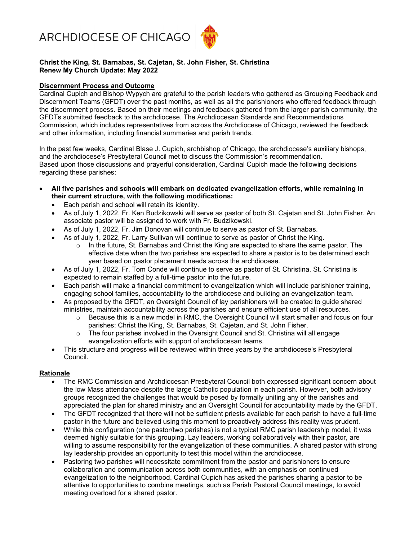ARCHDIOCESE OF CHICAGO



## Christ the King, St. Barnabas, St. Cajetan, St. John Fisher, St. Christina Renew My Church Update: May 2022

## Discernment Process and Outcome

Cardinal Cupich and Bishop Wypych are grateful to the parish leaders who gathered as Grouping Feedback and Discernment Teams (GFDT) over the past months, as well as all the parishioners who offered feedback through the discernment process. Based on their meetings and feedback gathered from the larger parish community, the GFDTs submitted feedback to the archdiocese. The Archdiocesan Standards and Recommendations Commission, which includes representatives from across the Archdiocese of Chicago, reviewed the feedback and other information, including financial summaries and parish trends.

In the past few weeks, Cardinal Blase J. Cupich, archbishop of Chicago, the archdiocese's auxiliary bishops, and the archdiocese's Presbyteral Council met to discuss the Commission's recommendation. Based upon those discussions and prayerful consideration, Cardinal Cupich made the following decisions regarding these parishes:

- All five parishes and schools will embark on dedicated evangelization efforts, while remaining in their current structure, with the following modifications:
	- Each parish and school will retain its identity.
	- As of July 1, 2022, Fr. Ken Budzikowski will serve as pastor of both St. Cajetan and St. John Fisher. An associate pastor will be assigned to work with Fr. Budzikowski.
	- As of July 1, 2022, Fr. Jim Donovan will continue to serve as pastor of St. Barnabas.
	- As of July 1, 2022, Fr. Larry Sullivan will continue to serve as pastor of Christ the King.
		- $\circ$  In the future, St. Barnabas and Christ the King are expected to share the same pastor. The effective date when the two parishes are expected to share a pastor is to be determined each year based on pastor placement needs across the archdiocese.
	- As of July 1, 2022, Fr. Tom Conde will continue to serve as pastor of St. Christina. St. Christina is expected to remain staffed by a full-time pastor into the future.
	- Each parish will make a financial commitment to evangelization which will include parishioner training, engaging school families, accountability to the archdiocese and building an evangelization team.
	- As proposed by the GFDT, an Oversight Council of lay parishioners will be created to guide shared ministries, maintain accountability across the parishes and ensure efficient use of all resources.
		- $\circ$  Because this is a new model in RMC, the Oversight Council will start smaller and focus on four parishes: Christ the King, St. Barnabas, St. Cajetan, and St. John Fisher.
		- $\circ$  The four parishes involved in the Oversight Council and St. Christina will all engage evangelization efforts with support of archdiocesan teams.
	- This structure and progress will be reviewed within three years by the archdiocese's Presbyteral Council.

#### Rationale

- The RMC Commission and Archdiocesan Presbyteral Council both expressed significant concern about the low Mass attendance despite the large Catholic population in each parish. However, both advisory groups recognized the challenges that would be posed by formally uniting any of the parishes and appreciated the plan for shared ministry and an Oversight Council for accountability made by the GFDT.
- The GFDT recognized that there will not be sufficient priests available for each parish to have a full-time pastor in the future and believed using this moment to proactively address this reality was prudent.
- While this configuration (one pastor/two parishes) is not a typical RMC parish leadership model, it was deemed highly suitable for this grouping. Lay leaders, working collaboratively with their pastor, are willing to assume responsibility for the evangelization of these communities. A shared pastor with strong lay leadership provides an opportunity to test this model within the archdiocese.
- Pastoring two parishes will necessitate commitment from the pastor and parishioners to ensure collaboration and communication across both communities, with an emphasis on continued evangelization to the neighborhood. Cardinal Cupich has asked the parishes sharing a pastor to be attentive to opportunities to combine meetings, such as Parish Pastoral Council meetings, to avoid meeting overload for a shared pastor.